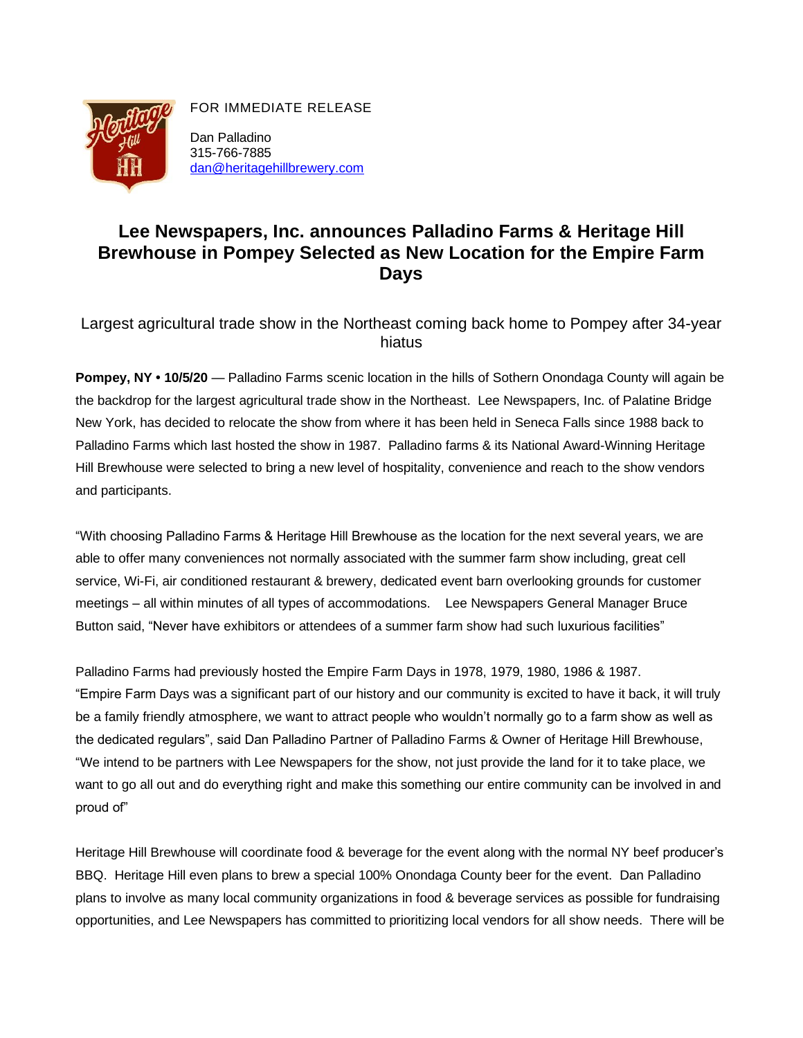

FOR IMMEDIATE RELEASE

Dan Palladino 315-766-7885 [dan@heritagehillbrewery.com](mailto:dan@heritagehillbrewery.com)

## **Lee Newspapers, Inc. announces Palladino Farms & Heritage Hill Brewhouse in Pompey Selected as New Location for the Empire Farm Days**

Largest agricultural trade show in the Northeast coming back home to Pompey after 34-year hiatus

**Pompey, NY • 10/5/20** — Palladino Farms scenic location in the hills of Sothern Onondaga County will again be the backdrop for the largest agricultural trade show in the Northeast. Lee Newspapers, Inc. of Palatine Bridge New York, has decided to relocate the show from where it has been held in Seneca Falls since 1988 back to Palladino Farms which last hosted the show in 1987. Palladino farms & its National Award-Winning Heritage Hill Brewhouse were selected to bring a new level of hospitality, convenience and reach to the show vendors and participants.

"With choosing Palladino Farms & Heritage Hill Brewhouse as the location for the next several years, we are able to offer many conveniences not normally associated with the summer farm show including, great cell service, Wi-Fi, air conditioned restaurant & brewery, dedicated event barn overlooking grounds for customer meetings – all within minutes of all types of accommodations. Lee Newspapers General Manager Bruce Button said, "Never have exhibitors or attendees of a summer farm show had such luxurious facilities"

Palladino Farms had previously hosted the Empire Farm Days in 1978, 1979, 1980, 1986 & 1987. "Empire Farm Days was a significant part of our history and our community is excited to have it back, it will truly be a family friendly atmosphere, we want to attract people who wouldn't normally go to a farm show as well as the dedicated regulars", said Dan Palladino Partner of Palladino Farms & Owner of Heritage Hill Brewhouse, "We intend to be partners with Lee Newspapers for the show, not just provide the land for it to take place, we want to go all out and do everything right and make this something our entire community can be involved in and proud of"

Heritage Hill Brewhouse will coordinate food & beverage for the event along with the normal NY beef producer's BBQ. Heritage Hill even plans to brew a special 100% Onondaga County beer for the event. Dan Palladino plans to involve as many local community organizations in food & beverage services as possible for fundraising opportunities, and Lee Newspapers has committed to prioritizing local vendors for all show needs. There will be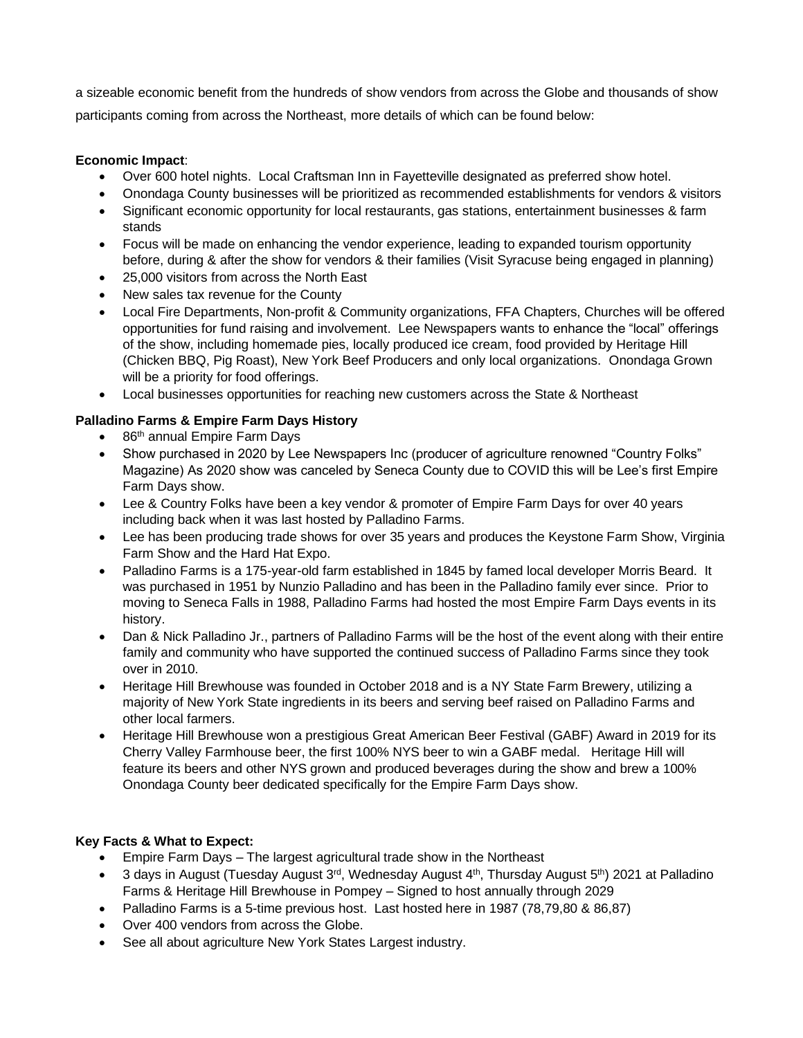a sizeable economic benefit from the hundreds of show vendors from across the Globe and thousands of show participants coming from across the Northeast, more details of which can be found below:

## **Economic Impact**:

- Over 600 hotel nights. Local Craftsman Inn in Fayetteville designated as preferred show hotel.
- Onondaga County businesses will be prioritized as recommended establishments for vendors & visitors
- Significant economic opportunity for local restaurants, gas stations, entertainment businesses & farm stands
- Focus will be made on enhancing the vendor experience, leading to expanded tourism opportunity before, during & after the show for vendors & their families (Visit Syracuse being engaged in planning)
- 25,000 visitors from across the North East
- New sales tax revenue for the County
- Local Fire Departments, Non-profit & Community organizations, FFA Chapters, Churches will be offered opportunities for fund raising and involvement. Lee Newspapers wants to enhance the "local" offerings of the show, including homemade pies, locally produced ice cream, food provided by Heritage Hill (Chicken BBQ, Pig Roast), New York Beef Producers and only local organizations. Onondaga Grown will be a priority for food offerings.
- Local businesses opportunities for reaching new customers across the State & Northeast

## **Palladino Farms & Empire Farm Days History**

- 86<sup>th</sup> annual Empire Farm Days
- Show purchased in 2020 by Lee Newspapers Inc (producer of agriculture renowned "Country Folks" Magazine) As 2020 show was canceled by Seneca County due to COVID this will be Lee's first Empire Farm Days show.
- Lee & Country Folks have been a key vendor & promoter of Empire Farm Days for over 40 years including back when it was last hosted by Palladino Farms.
- Lee has been producing trade shows for over 35 years and produces the Keystone Farm Show, Virginia Farm Show and the Hard Hat Expo.
- Palladino Farms is a 175-year-old farm established in 1845 by famed local developer Morris Beard. It was purchased in 1951 by Nunzio Palladino and has been in the Palladino family ever since. Prior to moving to Seneca Falls in 1988, Palladino Farms had hosted the most Empire Farm Days events in its history.
- Dan & Nick Palladino Jr., partners of Palladino Farms will be the host of the event along with their entire family and community who have supported the continued success of Palladino Farms since they took over in 2010.
- Heritage Hill Brewhouse was founded in October 2018 and is a NY State Farm Brewery, utilizing a majority of New York State ingredients in its beers and serving beef raised on Palladino Farms and other local farmers.
- Heritage Hill Brewhouse won a prestigious Great American Beer Festival (GABF) Award in 2019 for its Cherry Valley Farmhouse beer, the first 100% NYS beer to win a GABF medal. Heritage Hill will feature its beers and other NYS grown and produced beverages during the show and brew a 100% Onondaga County beer dedicated specifically for the Empire Farm Days show.

## **Key Facts & What to Expect:**

- Empire Farm Days The largest agricultural trade show in the Northeast
- 3 days in August (Tuesday August  $3^{rd}$ , Wednesday August  $4^{th}$ , Thursday August  $5^{th}$ ) 2021 at Palladino Farms & Heritage Hill Brewhouse in Pompey – Signed to host annually through 2029
- Palladino Farms is a 5-time previous host. Last hosted here in 1987 (78,79,80 & 86,87)
- Over 400 vendors from across the Globe.
- See all about agriculture New York States Largest industry.